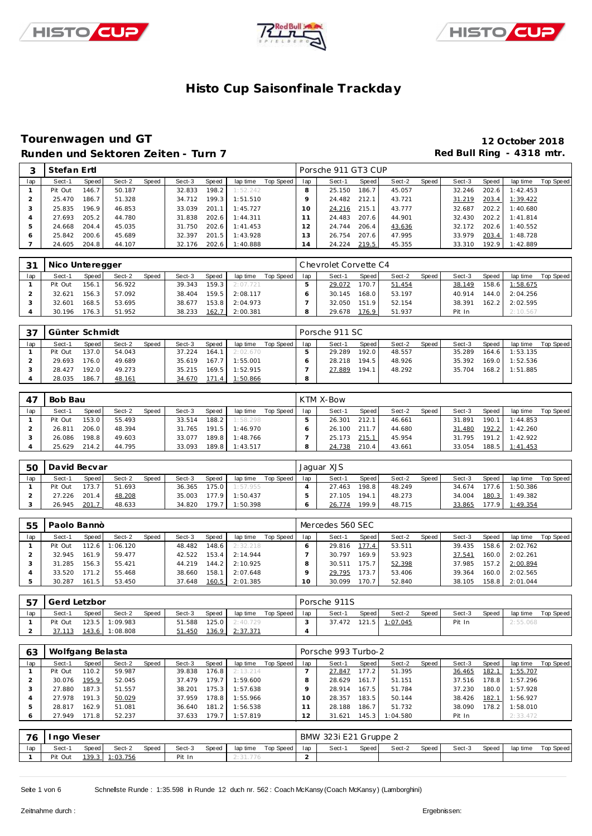





### **Tourenwagen und GT 12 October 2018** Runden und Sektoren Zeiten - Turn 7 **Runden und Sektoren Zeiten - Turn 7 Red Bull Ring - 4318 mtr.**

|              | Stefan Ertl |       |        |       |        |       |          |           |                | Porsche 911 GT3 CUP |       |        |       |        |       |          |           |
|--------------|-------------|-------|--------|-------|--------|-------|----------|-----------|----------------|---------------------|-------|--------|-------|--------|-------|----------|-----------|
| lap          | Sect-1      | Speed | Sect-2 | Speed | Sect-3 | Speed | lap time | Top Speed | lap            | Sect-1              | Speed | Sect-2 | Speed | Sect-3 | Speed | lap time | Top Speed |
|              | Pit Out     | 146.7 | 50.187 |       | 32.833 | 198.2 | 1:52.242 |           |                | 25.150              | 186.7 | 45.057 |       | 32.246 | 202.6 | 1:42.453 |           |
|              | 25.470      | 186.7 | 51.328 |       | 34.712 | 199.3 | 1:51.510 |           |                | 24.482              | 212.1 | 43.721 |       | 31.219 | 203.4 | 1:39.422 |           |
| З            | 25.835      | 196.9 | 46.853 |       | 33.039 | 201.1 | 1:45.727 |           | 10             | 24.216              | 215.1 | 43.777 |       | 32.687 | 202.2 | 1:40.680 |           |
|              | 27.693      | 205.2 | 44.780 |       | 31.838 | 202.6 | 1:44.311 |           |                | 24.483              | 207.6 | 44.901 |       | 32.430 | 202.2 | 1:41.814 |           |
| -5           | 24.668      | 204.4 | 45.035 |       | 31.750 | 202.6 | 1:41.453 |           |                | 24.744              | 206.4 | 43.636 |       | 32.172 | 202.6 | 1:40.552 |           |
| <sub>6</sub> | 25.842      | 200.6 | 45.689 |       | 32.397 | 201.5 | 1:43.928 |           | 3              | 26.754              | 207.6 | 47.995 |       | 33.979 | 203.4 | 1:48.728 |           |
|              | 24.605      | 204.8 | 44.107 |       | 32.176 | 202.6 | 1:40.888 |           | $\overline{4}$ | 24.224              | 219.5 | 45.355 |       | 33.310 | 192.9 | 1:42.889 |           |

| 3 <sup>1</sup> | Nico Unteregger |       |        |       |        |       |          |           |     | Chevrolet Corvette C4 |       |        |       |        |       |                |           |
|----------------|-----------------|-------|--------|-------|--------|-------|----------|-----------|-----|-----------------------|-------|--------|-------|--------|-------|----------------|-----------|
| lap            | Sect-1          | Speed | Sect-2 | Speed | Sect-3 | Speed | lap time | Top Speed | lap | Sect-1                | Speed | Sect-2 | Speed | Sect-3 | Speed | lap time       | Top Speed |
|                | Pit Out         | 156.1 | 56.922 |       | 39.343 | 159.3 | 2:07.721 |           |     | 29.072                | 170.7 | 51.454 |       | 38.149 |       | 158.6 1:58.675 |           |
|                | 32.621          | 156.3 | 57.092 |       | 38.404 | 159.5 | 2:08.117 |           |     | 30.145                | 168.0 | 53.197 |       | 40.914 |       | 144.0 2:04.256 |           |
|                | 32.601          | 168.5 | 53.695 |       | 38.677 | 153.8 | 2:04.973 |           |     | 32.050                | 151.9 | 52.154 |       | 38.391 |       | 162.2 2:02.595 |           |
|                | 30.196          | 176.3 | 51.952 |       | 38.233 | 162.7 | 2:00.381 |           |     | 29.678                | 176.9 | 51.937 |       | Pit In |       | 2:10.567       |           |

| - 37 | Günter Schmidt |         |        |       |        |       |                       |           |     | Porsche 911 SC |       |        |       |        |       |                |           |
|------|----------------|---------|--------|-------|--------|-------|-----------------------|-----------|-----|----------------|-------|--------|-------|--------|-------|----------------|-----------|
| lap  | Sect-1         | Speed   | Sect-2 | Speed | Sect-3 | Speed | lap time              | Top Speed | lap | Sect-1         | Speed | Sect-2 | Speed | Sect-3 | Speed | lap time       | Top Speed |
|      | Pit Out        | 137.0   | 54.043 |       | 37.224 | 164.1 | 2:02.670              |           |     | 29.289         | 192.0 | 48.557 |       | 35.289 | 164.6 | 1:53.135       |           |
|      | 29.693         | 176.0 l | 49.689 |       | 35.619 | 167.7 | 1:55.001              |           |     | 28.218         | 194.5 | 48.926 |       | 35.392 | 169.0 | 1:52.536       |           |
|      | 28.427         | 192.0   | 49.273 |       | 35.215 | 169.5 | 1:52.915              |           |     | 27.889         | 194.1 | 48.292 |       | 35.704 |       | 168.2 1:51.885 |           |
|      | 28.035         | 186.7   | 48.161 |       | 34.670 |       | <u>171.4 1:50.866</u> |           | 8   |                |       |        |       |        |       |                |           |

| 47  | Bob Bau |       |        |       |        |       |          |           |     | KTM X-Bow |       |        |       |        |       |          |           |
|-----|---------|-------|--------|-------|--------|-------|----------|-----------|-----|-----------|-------|--------|-------|--------|-------|----------|-----------|
| lap | Sect-1  | Speed | Sect-2 | Speed | Sect-3 | Speed | lap time | Top Speed | lap | Sect-1    | Speed | Sect-2 | Speed | Sect-3 | Speed | lap time | Top Speed |
|     | Pit Out | 153.0 | 55.493 |       | 33.514 | 188.2 | 1:58.298 |           |     | 26.301    | 212.1 | 46.661 |       | 31.891 | 190.1 | 1:44.853 |           |
|     | 26.811  | 206.0 | 48.394 |       | 31.765 | 191.5 | 1:46.970 |           |     | 26.100    | 211.7 | 44.680 |       | 31.480 | 192.2 | 1:42.260 |           |
|     | 26.086  | 198.8 | 49.603 |       | 33.077 | 189.8 | 1:48.766 |           |     | 25.173    | 215.1 | 45.954 |       | 31.795 | 191.2 | 1:42.922 |           |
|     | 25.629  | 214.2 | 44.795 |       | 33.093 | 189.8 | 1:43.517 |           |     | 24.738    | 210.4 | 43.661 |       | 33.054 | 188.5 | 1:41.453 |           |

| 50  | David Becvar |       |        |       |        |       |          |           |     | Jaquar XJS |              |        |       |        |         |          |           |
|-----|--------------|-------|--------|-------|--------|-------|----------|-----------|-----|------------|--------------|--------|-------|--------|---------|----------|-----------|
| lap | Sect-1       | Speed | Sect-2 | Speed | Sect-3 | Speed | lap time | Top Speed | lap | Sect-1     | <b>Speed</b> | Sect-2 | Speed | Sect-3 | Speed   | lap time | Top Speed |
|     | Pit Out      | 173.7 | 51.693 |       | 36.365 | 175.0 | 1:57.955 |           |     | 27.463     | 198.8        | 48.249 |       | 34.674 | 177.6   | 1:50.386 |           |
|     | 27.226       | 201.4 | 48.208 |       | 35.003 | 177.9 | 1:50.437 |           |     | 27.105     | 194.1        | 48.273 |       | 34.004 | 180.3   | 1:49.382 |           |
|     | 26.945       | 201.  | 48.633 |       | 34.820 | 79.7  | 1:50.398 |           |     | 26.774     | 199.9        | 48.715 |       | 33.865 | 177.9 L | 1:49.354 |           |

| 55  | Paolo Bannò |       |         |              |        |       |          |           |     | Mercedes 560 SEC |       |        |       |        |              |                |           |
|-----|-------------|-------|---------|--------------|--------|-------|----------|-----------|-----|------------------|-------|--------|-------|--------|--------------|----------------|-----------|
| lap | Sect-1      | Speed | Sect-2  | <b>Speed</b> | Sect-3 | Speed | lap time | Top Speed | lap | Sect-1           | Speed | Sect-2 | Speed | Sect-3 | <b>Speed</b> | lap time       | Top Speed |
|     | Pit Out     | 112.6 | :06.120 |              | 48.482 | 148.6 | 2:32.218 |           |     | 29.816           | 177.4 | 53.511 |       | 39.435 |              | 158.6 2:02.762 |           |
|     | 32.945      | 161.9 | 59.477  |              | 42.522 | 153.4 | 2:14.944 |           |     | 30.797           | 169.9 | 53.923 |       | 37.541 |              | 160.0 2:02.261 |           |
|     | 31.285      | 156.3 | 55.421  |              | 44.219 | 144.2 | 2:10.925 |           |     | 30.511           | 175.7 | 52.398 |       | 37.985 |              | 157.2 2:00.894 |           |
|     | 33.520      | 171.2 | 55.468  |              | 38.660 | 158.1 | 2:07.648 |           |     | 29.795           | 173.7 | 53.406 |       | 39.364 |              | 160.0 2:02.565 |           |
|     | 30.287      | 161.5 | 53.450  |              | 37.648 | 160.5 | 2:01.385 |           |     | 30.099           | 170.7 | 52.840 |       | 38.105 |              | 158.8 2:01.044 |           |

| 57  | Gerd Letzbor |         |                |       |        |              |                  |           |     | Porsche 911S |       |                |       |        |       |          |           |
|-----|--------------|---------|----------------|-------|--------|--------------|------------------|-----------|-----|--------------|-------|----------------|-------|--------|-------|----------|-----------|
| lap | Sect-1       | Speed I | Sect-2         | Speed | Sect-3 | Speed        | lap time         | Top Speed | lap | Sect-1       | Speed | Sect-2         | Speed | Sect-3 | Speed | lap time | Top Speed |
|     | Pit Out      |         | 123.5 1:09.983 |       | 51.588 |              | $125.0$ 2:40.729 |           |     | 37.472       |       | 121.5 1:07.045 |       | Pit In |       | 2:55.068 |           |
|     |              |         | 143.6 1:08.808 |       | 51.450 | <u>136.9</u> | 2:37.371         |           |     |              |       |                |       |        |       |          |           |

| 63  | Wolfgang Belasta |         |        |       |        |        |          |           |     | Porsche 993 Turbo-2 |       |          |       |        |       |          |           |
|-----|------------------|---------|--------|-------|--------|--------|----------|-----------|-----|---------------------|-------|----------|-------|--------|-------|----------|-----------|
| lap | Sect-1           | Speed   | Sect-2 | Speed | Sect-3 | Speed  | lap time | Top Speed | lap | Sect-1              | Speed | Sect-2   | Speed | Sect-3 | Speed | lap time | Top Speed |
|     | Pit Out          | 110.2   | 59.987 |       | 39.838 | 176.8  | 2:13.214 |           |     | 27.847              | 177.2 | 51.395   |       | 36.465 | 182.1 | 1:55.707 |           |
|     | 30.076           | 195.9   | 52.045 |       | 37.479 | 179.7  | 1:59.600 |           |     | 28.629              | 161.7 | 51.151   |       | 37.516 | 178.8 | 1:57.296 |           |
|     | 27.880           | 187.3   | 51.557 |       | 38.201 | 175.3  | 1:57.638 |           |     | 28.914              | 167.5 | 51.784   |       | 37.230 | 180.0 | 1:57.928 |           |
|     | 27.978           | 191.3   | 50.029 |       | 37.959 | 178.8  | 1:55.966 |           |     | 28.357              | 183.5 | 50.144   |       | 38.426 | 182.1 | 1:56.927 |           |
|     | 28.817           | 162.9   | 51.081 |       | 36.640 | 181.2  | 1:56.538 |           |     | 28.188              | 186.7 | 51.732   |       | 38.090 | 178.2 | 1:58.010 |           |
|     | 27.949           | 171.8 I | 52.237 |       | 37.633 | 179.71 | 1:57.819 |           |     | 31.621              | 145.3 | 1:04.580 |       | Pit In |       | 2:33.472 |           |

| 76  | Ingo Vieser |       |          |              |        |       |          |           |     | BMW 323i E21 Gruppe 2 |       |        |       |        |       |          |           |
|-----|-------------|-------|----------|--------------|--------|-------|----------|-----------|-----|-----------------------|-------|--------|-------|--------|-------|----------|-----------|
| lap | Sect-1      | Speed | Sect-2   | <b>Speed</b> | Sect-3 | Speed | lap time | Top Speed | lap | Sect-1                | Speed | Sect-2 | Speed | Sect-3 | Speed | lap time | Top Speed |
|     | Pit Out     | 139.3 | : 03.756 |              | Pit In |       | 2:31.776 |           |     |                       |       |        |       |        |       |          |           |

Seite 1 von 6 Schnelste Runde : 1:35.598 in Runde 12 duch nr. 562 : Coach McKansy (Coach McKansy) (Lamborghini)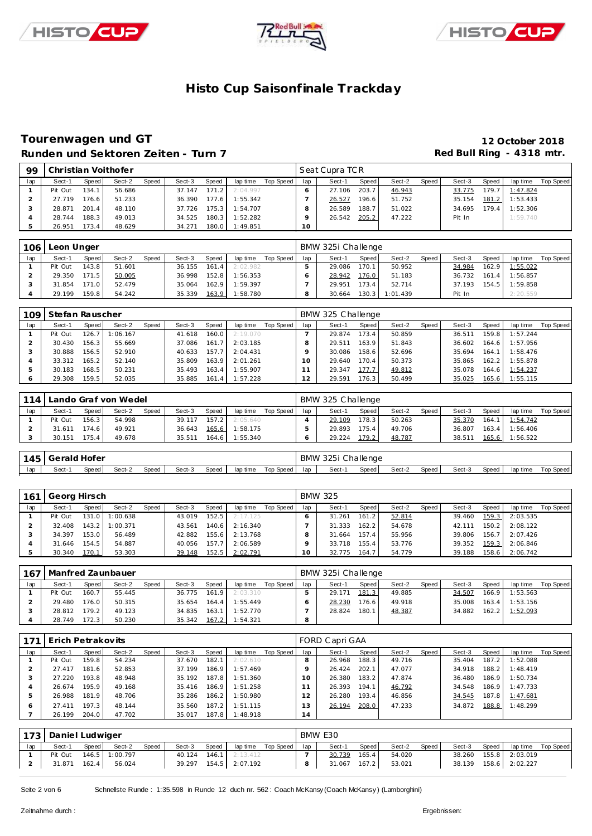





### **Tourenwagen und GT 12 October 2018 Runden und Sektoren Zeiten - Turn 7**

| 99  |         |        | Christian Voithofer |       |        |       |          |           |     | Seat Cupra TCR |       |        |       |        |       |          |           |
|-----|---------|--------|---------------------|-------|--------|-------|----------|-----------|-----|----------------|-------|--------|-------|--------|-------|----------|-----------|
| lap | Sect-1  | Speed  | Sect-2              | Speed | Sect-3 | Speed | lap time | Top Speed | lap | Sect-1         | Speed | Sect-2 | Speed | Sect-3 | Speed | lap time | Top Speed |
|     | Pit Out | 134.1  | 56.686              |       | 37.147 | 171.2 | 2:04.997 |           |     | 27.106         | 203.7 | 46.943 |       | 33.775 | 179.7 | 1:47.824 |           |
|     | 27.719  | 176.6  | 51.233              |       | 36.390 | 177.6 | 1:55.342 |           |     | 26.527         | 196.6 | 51.752 |       | 35.154 | 181.2 | 1:53.433 |           |
|     | 28.871  | 201.4  | 48.110              |       | 37.726 | 175.3 | 1:54.707 |           |     | 26.589         | 188.7 | 51.022 |       | 34.695 | 179.4 | 1:52.306 |           |
|     | 28.744  | 188.3  | 49.013              |       | 34.525 | 180.3 | 1:52.282 |           |     | 26.542         | 205.2 | 47.222 |       | Pit In |       | 1:59.740 |           |
|     | 26.951  | 173.4. | 48.629              |       | 34.271 | 180.0 | 1:49.851 |           | 10  |                |       |        |       |        |       |          |           |

| 106 | Leon Unger |       |        |       |        |       |          |           |     | BMW 325i Challenge |       |          |       |        |       |                |           |
|-----|------------|-------|--------|-------|--------|-------|----------|-----------|-----|--------------------|-------|----------|-------|--------|-------|----------------|-----------|
| lap | Sect-1     | Speed | Sect-2 | Speed | Sect-3 | Speed | lap time | Top Speed | lap | Sect-1             | Speed | Sect-2   | Speed | Sect-3 | Speed | lap time       | Top Speed |
|     | Pit Out    | 143.8 | 51.601 |       | 36.155 | 161.4 | 2:02.982 |           |     | 29.086             | 170.1 | 50.952   |       | 34.984 | 162.9 | 1:55.022       |           |
|     | 29.350     | 171.5 | 50.005 |       | 36.998 | 152.8 | 1:56.353 |           |     | 28.942             | 176.0 | 51.183   |       | 36.732 | 161.4 | 1:56.857       |           |
|     | 31.854     | 171.0 | 52.479 |       | 35.064 | 162.9 | 1:59.397 |           |     | 29.951             | 173.4 | 52.714   |       | 37.193 |       | 154.5 1:59.858 |           |
|     | 29.199     | 159.8 | 54.242 |       | 35.339 | 163.9 | 1:58.780 |           |     | 30.664             | 130.3 | 1:01.439 |       | Pit In |       | 2:20.559       |           |

| 109 | Stefan Rauscher |       |          |       |        |       |          |           |     | BMW 325 Challenge |       |        |       |        |       |          |           |
|-----|-----------------|-------|----------|-------|--------|-------|----------|-----------|-----|-------------------|-------|--------|-------|--------|-------|----------|-----------|
| lap | Sect-1          | Speed | Sect-2   | Speed | Sect-3 | Speed | lap time | Top Speed | lap | Sect-1            | Speed | Sect-2 | Speed | Sect-3 | Speed | lap time | Top Speed |
|     | Pit Out         | 126.7 | : 06.167 |       | 41.618 | 160.0 | 2:19.070 |           |     | 29.874            | 173.4 | 50.859 |       | 36.511 | 159.8 | 1:57.244 |           |
|     | 30.430          | 156.3 | 55.669   |       | 37.086 | 161.7 | 2:03.185 |           |     | 29.511            | 163.9 | 51.843 |       | 36.602 | 164.6 | 1:57.956 |           |
|     | 30.888          | 156.5 | 52.910   |       | 40.633 | 157.7 | 2:04.431 |           |     | 30.086            | 158.6 | 52.696 |       | 35.694 | 164.1 | 1:58.476 |           |
|     | 33.312          | 165.2 | 52.140   |       | 35.809 | 163.9 | 2:01.261 |           |     | 29.640            | 170.4 | 50.373 |       | 35.865 | 162.2 | 1:55.878 |           |
|     | 30.183          | 168.5 | 50.231   |       | 35.493 | 163.4 | 1:55.907 |           |     | 29.347            | 177.7 | 49.812 |       | 35.078 | 164.6 | 1:54.237 |           |
|     | 29.308          | 159.5 | 52.035   |       | 35.885 | 161.4 | 1:57.228 |           |     | 29.591            | 176.3 | 50.499 |       | 35.025 | 165.6 | 1:55.115 |           |

| 114 |         |         | ando Graf von Wedel |              |        |       |          |           |     | BMW 325 Challenge |       |        |       |        |       |          |           |
|-----|---------|---------|---------------------|--------------|--------|-------|----------|-----------|-----|-------------------|-------|--------|-------|--------|-------|----------|-----------|
| lap | Sect-1  | Speed I | Sect-2              | <b>Speed</b> | Sect-3 | Speed | lap time | Top Speed | lap | Sect-1            | Speed | Sect-2 | Speed | Sect-3 | Speed | lap time | Top Speed |
|     | Pit Out | 156.3   | 54.998              |              | 39.117 | 157.2 | 2:05.640 |           |     | 29.109            | 178.3 | 50.263 |       | 35.370 | 164.1 | 1:54.742 |           |
|     | 31.611  | 174.6   | 49.921              |              | 36.643 | 165.6 | 1:58.175 |           |     | 29.893            | 175.4 | 49.706 |       | 36.807 | 163.4 | 1:56.406 |           |
|     | 30.151  | 175.4   | 49.678              |              | 35.511 | 164.6 | 1:55.340 |           |     | 29.224            | 179.2 | 48.787 |       | 38.511 | 165.6 | 1:56.522 |           |

|     | 145 Gerald Hofer |       |        |       |        |       |          |           |     | BMW 325i Challenge |       |        |       |        |       |          |           |
|-----|------------------|-------|--------|-------|--------|-------|----------|-----------|-----|--------------------|-------|--------|-------|--------|-------|----------|-----------|
| lap | Sect-            | Speed | Sect-2 | Speed | Sect-3 | Speed | lap time | Top Speed | lap | Sect-1             | Speed | Sect-2 | Speed | Sect-3 | Speed | lap time | Top Speed |

| 161 | Georg Hirsch |       |                  |       |        |       |          |           |     | <b>BMW 325</b> |       |        |       |        |       |                |           |
|-----|--------------|-------|------------------|-------|--------|-------|----------|-----------|-----|----------------|-------|--------|-------|--------|-------|----------------|-----------|
| lap | Sect-1       | Speed | Sect-2           | Speed | Sect-3 | Speed | lap time | Top Speed | lap | Sect-1         | Speed | Sect-2 | Speed | Sect-3 | Speed | lap time       | Top Speed |
|     | Pit Out      |       | 131.0 1:00.638   |       | 43.019 | 152.5 | 2:17.125 |           |     | 31.261         | 161.2 | 52.814 |       | 39.460 | 159.3 | 2:03.535       |           |
|     | 32.408       |       | $143.2$ 1:00.371 |       | 43.561 | 140.6 | 2:16.340 |           |     | 31.333         | 162.2 | 54.678 |       | 42.111 | 150.2 | 2:08.122       |           |
|     | 34.397       | 153.0 | 56.489           |       | 42.882 | 155.6 | 2:13.768 |           |     | 31.664         | 157.4 | 55.956 |       | 39.806 | 156.7 | 2:07.426       |           |
|     | 31.646       | 154.5 | 54.887           |       | 40.056 | 157.7 | 2:06.589 |           |     | 33.718         | 155.4 | 53.776 |       | 39.352 | 159.3 | 2:06.846       |           |
|     | 30.340       | 170.1 | 53.303           |       | 39.148 | 152.5 | 2:02.791 |           |     | 32.775         | 164.7 | 54.779 |       | 39.188 |       | 158.6 2:06.742 |           |

|     | 167   Manfred Zaunbauer |       |        |       |              |           |                             |           |     | BMW 325i Challenge |                    |        |       |        |       |          |           |
|-----|-------------------------|-------|--------|-------|--------------|-----------|-----------------------------|-----------|-----|--------------------|--------------------|--------|-------|--------|-------|----------|-----------|
| lap | Sect-1                  | Speed | Sect-2 | Speed | Sect-3       | Speed     | lap time                    | Top Speed | lap | Sect-1             | Speed              | Sect-2 | Speed | Sect-3 | Speed | lap time | Top Speed |
|     | Pit Out                 | 160.7 | 55.445 |       |              |           | $36.775$ $161.9$ $2:03.310$ |           |     | 29.171             | 181.3              | 49.885 |       | 34.507 | 166.9 | 1:53.563 |           |
|     | 29.480                  | 176.0 | 50.315 |       | 35.654 164.4 |           | 1:55.449                    |           |     | 28.230             | 176.6 <sub>1</sub> | 49.918 |       | 35,008 | 163.4 | 1:53.156 |           |
|     | 28.812                  | 179.2 | 49.123 |       | 34.835       | 163.1     | 1:52.770                    |           |     | 28.824             | 180.1              | 48.387 |       | 34.882 | 162.2 | 1:52.093 |           |
|     | 28.749                  | 172.3 | 50.230 |       | 35.342       | $167.2$ . | 1:54.321                    |           |     |                    |                    |        |       |        |       |          |           |

| 171 | Erich Petrakovits |       |        |       |        |         |          |           |          | FORD Capri GAA |       |        |       |        |       |          |           |
|-----|-------------------|-------|--------|-------|--------|---------|----------|-----------|----------|----------------|-------|--------|-------|--------|-------|----------|-----------|
| lap | Sect-1            | Speed | Sect-2 | Speed | Sect-3 | Speed   | lap time | Top Speed | lap      | Sect-1         | Speed | Sect-2 | Speed | Sect-3 | Speed | lap time | Top Speed |
|     | Pit Out           | 159.8 | 54.234 |       | 37.670 | 182.1   | 2:02.610 |           |          | 26.968         | 188.3 | 49.716 |       | 35.404 | 187.2 | 1:52.088 |           |
|     | 27.417            | 181.6 | 52.853 |       | 37.199 | 186.9   | 1:57.469 |           |          | 26.424         | 202.1 | 47.077 |       | 34.918 | 188.2 | 1:48.419 |           |
|     | 27.220            | 193.8 | 48.948 |       | 35.192 | 187.8   | 1:51.360 |           | $\Omega$ | 26.380         | 183.2 | 47.874 |       | 36.480 | 186.9 | 1:50.734 |           |
|     | 26.674            | 195.9 | 49.168 |       | 35.416 | 186.9 L | 1:51.258 |           |          | 26.393         | 194.1 | 46.792 |       | 34.548 | 186.9 | 1:47.733 |           |
| b.  | 26.988            | 181.9 | 48.706 |       | 35.286 | 186.2   | 1:50.980 |           |          | 26.280         | 193.4 | 46.856 |       | 34.545 | 187.8 | 1:47.681 |           |
| 6   | 27.411            | 197.3 | 48.144 |       | 35.560 | 187.2   | 1:51.115 |           |          | 26.194         | 208.0 | 47.233 |       | 34.872 | 188.8 | 1:48.299 |           |
|     | 26.199            | 204.0 | 47.702 |       | 35.017 | 187.8   | 1:48.918 |           | 4        |                |       |        |       |        |       |          |           |

|     | 173 Daniel Ludwiger |         |                |              |        |       |                       |           |     | BMW E30 |       |        |       |        |       |                |           |
|-----|---------------------|---------|----------------|--------------|--------|-------|-----------------------|-----------|-----|---------|-------|--------|-------|--------|-------|----------------|-----------|
| lap | Sect-1              | Speed I | Sect-2         | <b>Speed</b> | Sect-3 | Speed | lap time              | Top Speed | lap | Sect-1  | Speed | Sect-2 | Speed | Sect-3 | Speed | lap time       | Top Speed |
|     | Pit Out             |         | 146.5 1:00.797 |              | 40.124 |       | $146.1$ 2:13.412      |           |     | 30.739  | 165.4 | 54.020 |       | 38.260 |       | 155.8 2:03.019 |           |
|     | 31.871              | 162.4   | 56.024         |              |        |       | 39.297 154.5 2:07.192 |           |     | 31.067  | 167.2 | 53.021 |       | 38.139 |       | 158.6 2:02.227 |           |

Seite 2 von 6 Schnelste Runde : 1:35.598 in Runde 12 duch nr. 562 : Coach McKansy (Coach McKansy) (Lamborghini)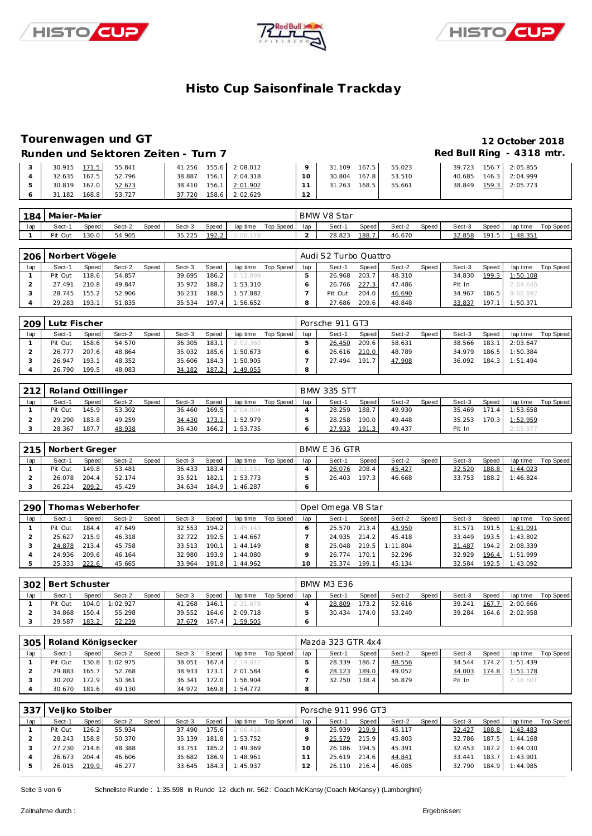





### **Tourenwagen und GT 12 October 2018**

Runden und Sektoren Zeiten - Turn 7 **Runden und Sektoren Zeiten - Turn 7 Red Bull Ring - 4318 mtr.** 

| 30.915 171.5    | 55.841 | 41.256 155.6 2:08.012 |                  |    | 31.109 | 167.5 | 55.023 | 39.723 | 156.7 2:05.855 |
|-----------------|--------|-----------------------|------------------|----|--------|-------|--------|--------|----------------|
| 167.5<br>32.635 | 52.796 | 38.887                | $156.1$ 2:04.318 | 10 | 30.804 | 167.8 | 53.510 | 40.685 | 146.3 2:04.999 |
| 167.0<br>30.819 | 52.673 | 38.410 156.1 2:01.902 |                  |    | 31.263 | 168.5 | 55.661 | 38.849 | 159.3 2:05.773 |
| 168.8<br>31.182 | 53.727 | 37.720                | 158.6 2:02.629   | 12 |        |       |        |        |                |

| 184 | Maier-Maier |       |        |       |        |       |          |           |     | BMW V8 Star |       |        |       |        |             |          |           |
|-----|-------------|-------|--------|-------|--------|-------|----------|-----------|-----|-------------|-------|--------|-------|--------|-------------|----------|-----------|
| lap | Sect-1      | Speed | Sect-2 | Speed | Sect-3 | Speed | lap time | Top Speed | lap | Sect-1      | Speed | Sect-2 | Speed | Sect-3 | Speed       | lap time | Top Speed |
|     | Pit Out     | 130.0 | 54.905 |       | 35.225 | 192.2 |          |           |     | 28.823      | 188.  | 46.670 |       | 32.858 | 101<br>ن. ا | : 48.351 |           |

| 206 | Norbert Vögele |        |        |              |        |       |          |           |     | Audi S2 Turbo Quattro |         |        |       |        |       |          |           |
|-----|----------------|--------|--------|--------------|--------|-------|----------|-----------|-----|-----------------------|---------|--------|-------|--------|-------|----------|-----------|
| lap | Sect-1         | Speed  | Sect-2 | <b>Speed</b> | Sect-3 | Speed | lap time | Top Speed | lap | Sect-1                | Speed I | Sect-2 | Speed | Sect-3 | Speed | lap time | Top Speed |
|     | Pit Out        | 118.61 | 54.857 |              | 39.695 | 186.2 | 2:12.898 |           |     | 26.968                | 203.7   | 48.310 |       | 34.830 | 199.3 | 1:50.108 |           |
|     | 27.491         | 210.8  | 49.847 |              | 35.972 | 188.2 | 1:53.310 |           |     | 26.766                | 227.3   | 47.486 |       | Pit In |       | 2:04.646 |           |
|     | 28.745         | 155.2  | 52.906 |              | 36.231 | 188.5 | 1:57.882 |           |     | Pit Out               | 204.0   | 46.690 |       | 34.967 | 186.5 | 9:00.892 |           |
|     | 29.283         | 193.1  | 51.835 |              | 35.534 | 197.4 | 1:56.652 |           |     | 27.686                | 209.6   | 48.848 |       | 33.837 | 197.1 | 1:50.371 |           |

| 209 | Lutz Fischer |       |        |              |        |       |          |           |     | Porsche 911 GT3 |       |        |       |        |       |          |           |
|-----|--------------|-------|--------|--------------|--------|-------|----------|-----------|-----|-----------------|-------|--------|-------|--------|-------|----------|-----------|
| lap | Sect-1       | Speed | Sect-2 | <b>Speed</b> | Sect-3 | Speed | lap time | Top Speed | lap | Sect-1          | Speed | Sect-2 | Speed | Sect-3 | Speed | lap time | Top Speed |
|     | Pit Out      | 158.6 | 54.570 |              | 36.305 | 183.1 | 2:02.360 |           |     | 26.450          | 209.6 | 58.631 |       | 38.566 | 183.1 | 2:03.647 |           |
|     | 26.777       | 207.6 | 48.864 |              | 35.032 | 185.6 | 1:50.673 |           |     | 26.616          | 210.0 | 48.789 |       | 34.979 | 186.5 | 1:50.384 |           |
|     | 26.947       | 193.1 | 48.352 |              | 35.606 | 184.3 | 1:50.905 |           |     | 27.494          | 191.7 | 47.908 |       | 36.092 | 184.3 | 1:51.494 |           |
|     | 26.790       | 199.5 | 48.083 |              | 34.182 | 187.2 | 1:49.055 |           |     |                 |       |        |       |        |       |          |           |

| 212 | Roland Ottillinger |       |        |       |        |       |          |           |     | <b>BMW 335 STT</b> |        |        |       |        |       |                  |           |
|-----|--------------------|-------|--------|-------|--------|-------|----------|-----------|-----|--------------------|--------|--------|-------|--------|-------|------------------|-----------|
| lap | Sect-1             | Speed | Sect-2 | Speed | Sect-3 | Speed | lap time | Top Speed | lap | Sect-1             | Speed  | Sect-2 | Speed | Sect-3 | Speed | lap time         | Top Speed |
|     | Pit Out            | 145.9 | 53.302 |       | 36.460 | 169.5 | 2:04.004 |           |     | 28.259             | 188.7  | 49.930 |       | 35.469 |       | $171.4$ 1:53.658 |           |
|     | 29.290             | 183.8 | 49.259 |       | 34.430 | 173.1 | 1:52.979 |           |     | 28.258             | 190.01 | 49.448 |       | 35.253 |       | 170.3 1:52.959   |           |
|     | 28.367             | 187.7 | 48.938 |       | 36.430 | 166.2 | 1:53.735 |           |     | 27.933             | 191.3  | 49.437 |       | Pit In |       | 2:05.977         |           |

| 215 | Norbert Greger |         |        |              |        |       |          |             |     | BMW E 36 GTR |       |        |       |        |       |          |           |
|-----|----------------|---------|--------|--------------|--------|-------|----------|-------------|-----|--------------|-------|--------|-------|--------|-------|----------|-----------|
| lap | Sect-1         | Speed i | Sect-2 | <b>Speed</b> | Sect-3 | Speed | lap time | Top Speed I | lap | Sect-1       | Speed | Sect-2 | Speed | Sect-3 | Speed | lap time | Top Speed |
|     | Pit Out        | 149.8   | 53.481 |              | 36.433 | 183.4 | 2:01.151 |             |     | 26.076       | 208.4 | 45.427 |       | 32.520 | 188.8 | 1:44.023 |           |
|     | 26.078         | 204.4   | 52.174 |              | 35.521 | 182.1 | 1:53.773 |             |     | 26.403       | 197.3 | 46.668 |       | 33.753 | 188.2 | 1:46.824 |           |
|     | 26.224         | 209.2   | 45.429 |              | 34.634 | 184.9 | 1:46.287 |             |     |              |       |        |       |        |       |          |           |

| 290 |         |       | Thomas Weberhofer |       |        |       |          |           |     | Opel Omega V8 Star |       |          |       |        |       |          |           |
|-----|---------|-------|-------------------|-------|--------|-------|----------|-----------|-----|--------------------|-------|----------|-------|--------|-------|----------|-----------|
| lap | Sect-1  | Speed | Sect-2            | Speed | Sect-3 | Speed | lap time | Top Speed | lap | Sect-1             | Speed | Sect-2   | Speed | Sect-3 | Speed | lap time | Top Speed |
|     | Pit Out | 184.4 | 47.649            |       | 32.553 | 194.2 | 1:45.143 |           |     | 25.570             | 213.4 | 43.950   |       | 31.571 | 191.5 | 1:41.091 |           |
|     | 25.627  | 215.9 | 46.318            |       | 32.722 | 192.5 | 1:44.667 |           |     | 24.935             | 214.2 | 45.418   |       | 33.449 | 193.5 | 1:43.802 |           |
|     | 24.878  | 213.4 | 45.758            |       | 33.513 | 190.1 | 1:44.149 |           |     | 25.048             | 219.5 | 1:11.804 |       | 31.487 | 194.2 | 2:08.339 |           |
|     | 24.936  | 209.6 | 46.164            |       | 32.980 | 193.9 | 1:44.080 |           |     | 26.774             | 170.1 | 52.296   |       | 32.929 | 196.4 | 1:51.999 |           |
|     | 25.333  | 222.6 | 45.665            |       | 33.964 | 191.8 | 1:44.962 |           |     | 25.374             | 199.1 | 45.134   |       | 32.584 | 192.5 | 1:43.092 |           |

|     | 302   Bert Schuster |       |                |       |        |       |                  |           |     | <b>BMW M3 E36</b> |       |        |       |        |       |          |           |
|-----|---------------------|-------|----------------|-------|--------|-------|------------------|-----------|-----|-------------------|-------|--------|-------|--------|-------|----------|-----------|
| lap | Sect-1              | Speed | Sect-2         | Speed | Sect-3 | Speed | lap time         | Top Speed | lap | Sect-1            | Speed | Sect-2 | Speed | Sect-3 | Speed | lap time | Top Speed |
|     | Pit Out             |       | 104.0 1:02.927 |       | 41.268 |       | $146.1$ 2:21.878 |           |     | 28.809            | 173.2 | 52.616 |       | 39.241 | 167.7 | 2:00.666 |           |
|     | 34.868              | 150.4 | 55.298         |       | 39.552 | 164.6 | 2:09.718         |           |     | 30.434            | 174.0 | 53.240 |       | 39.284 | 164.6 | 2:02.958 |           |
|     | 29.587              | 183.2 | 52.239         |       | 37.679 |       | 167.4 1:59.505   |           |     |                   |       |        |       |        |       |          |           |

| 305 |         |       | Roland Königsecker |       |        |       |          |           |     | Mazda 323 GTR 4x4 |        |        |       |        |       |          |           |
|-----|---------|-------|--------------------|-------|--------|-------|----------|-----------|-----|-------------------|--------|--------|-------|--------|-------|----------|-----------|
| lap | Sect-1  | Speed | Sect-2             | Speed | Sect-3 | Speed | lap time | Top Speed | lap | Sect-1            | Speed  | Sect-2 | Speed | Sect-3 | Speed | lap time | Top Speed |
|     | Pit Out | 130.8 | 1:02.975           |       | 38.051 | 167.4 | 2:14.812 |           |     | 28.339            | 186.7. | 48.556 |       | 34.544 | 174.2 | 1:51.439 |           |
|     | 29.883  | 165.7 | 52.768             |       | 38.933 | 173.1 | 2:01.584 |           |     | 28.123            | 189.0  | 49.052 |       | 34.003 | 174.8 | 1:51.178 |           |
|     | 30.202  | 172.9 | 50.361             |       | 36.341 | 172.0 | 1:56.904 |           |     | 32.750            | 138.4  | 56.879 |       | Pit In |       | 2:18.601 |           |
|     | 30.670  | 181.6 | 49.130             |       | 34.972 | 169.8 | 1:54.772 |           | 8   |                   |        |        |       |        |       |          |           |

|     | Veljko Stoiber |       |        |       |        |       |          |           |     | Porsche 911 996 GT3 |       |        |       |        |       |          |           |
|-----|----------------|-------|--------|-------|--------|-------|----------|-----------|-----|---------------------|-------|--------|-------|--------|-------|----------|-----------|
| lap | Sect-1         | Speed | Sect-2 | Speed | Sect-3 | Speed | lap time | Top Speed | lap | Sect-1              | Speed | Sect-2 | Speed | Sect-3 | Speed | lap time | Top Speed |
|     | Pit Out        | 126.2 | 55.934 |       | 37.490 | 175.6 | 2:06.418 |           |     | 25.939              | 219.9 | 45.117 |       | 32.427 | 188.8 | 1:43.483 |           |
|     | 28.243         | 158.8 | 50.370 |       | 35.139 | 181.8 | 1:53.752 |           |     | 25.579              | 215.9 | 45.803 |       | 32.786 | 187.5 | 1:44.168 |           |
|     | 27.230         | 214.6 | 48.388 |       | 33.751 | 185.2 | 1:49.369 |           |     | 26.186              | 194.5 | 45.391 |       | 32.453 | 187.2 | 1:44.030 |           |
|     | 26.673         | 204.4 | 46.606 |       | 35.682 | 186.9 | 1:48.961 |           |     | 25.619              | 214.6 | 44.841 |       | 33.441 | 183.7 | 1:43.901 |           |
|     | 26.015         | 219.9 | 46.277 |       | 33.645 | 184.3 | 1:45.937 |           | 12  | 26.110              | 216.4 | 46.085 |       | 32.790 | 184.9 | 1:44.985 |           |

Seite 3 von 6 Schnelste Runde : 1:35.598 in Runde 12 duch nr. 562 : Coach McKansy (Coach McKansy) (Lamborghini)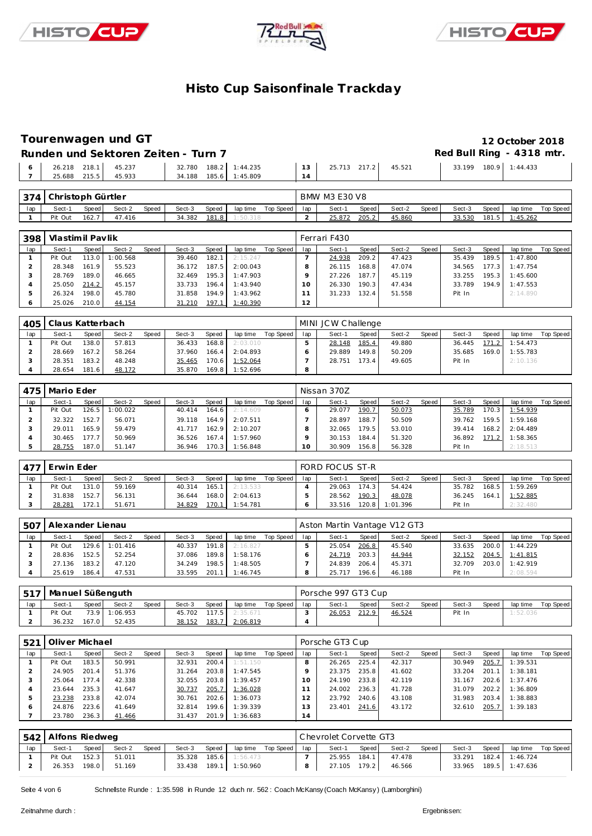





# **Tourenwagen und GT 12 October 2018**

|                                     |        | Runden und Sektoren Zeiten - Turn 7              |                 |                     | Red Bull Ring - 4318 mtr. |  |
|-------------------------------------|--------|--------------------------------------------------|-----------------|---------------------|---------------------------|--|
| 26.218 218.1 45.237<br>25.688 215.5 | 45.933 | 32.780  188.2  1:44.235<br>34.188 185.6 1:45.809 | 13 <sup>1</sup> | 25.713 217.2 45.521 | 33.199 180.9 1:44.433     |  |

| 374 | Christoph Gürtler |         |        |              |        |       |          |           |     | <b>BMW M3 E30 V8</b> |       |        |       |        |       |          |           |
|-----|-------------------|---------|--------|--------------|--------|-------|----------|-----------|-----|----------------------|-------|--------|-------|--------|-------|----------|-----------|
| lap | Sect-1            | Speed I | Sect-2 | <b>Speed</b> | Sect-3 | Speed | lap time | Top Speed | lap | Sect-1               | Speed | Sect-2 | Speed | Sect-3 | Speed | lap time | Top Speed |
|     | Pit Out           | 162.7   | 47.416 |              | 34.382 | 181.8 | :50.318  |           |     | 25.872               | 205.2 | 45.860 |       | 33.530 | 181.5 | 1:45.262 |           |

| 398 | Vlastimil Pavlik |       |          |       |        |                    |          |           |                | Ferrari F430 |       |        |       |        |       |          |           |
|-----|------------------|-------|----------|-------|--------|--------------------|----------|-----------|----------------|--------------|-------|--------|-------|--------|-------|----------|-----------|
| lap | Sect-1           | Speed | Sect-2   | Speed | Sect-3 | Speed              | lap time | Top Speed | lap            | Sect-1       | Speed | Sect-2 | Speed | Sect-3 | Speed | lap time | Top Speed |
|     | Pit Out          | 113.0 | 1:00.568 |       | 39.460 | 182.1              | 2:15.247 |           |                | 24.938       | 209.2 | 47.423 |       | 35.439 | 189.5 | 1:47.800 |           |
|     | 28.348           | 161.9 | 55.523   |       | 36.172 | 187.5              | 2:00.043 |           |                | 26.115       | 168.8 | 47.074 |       | 34.565 | 177.3 | 1:47.754 |           |
|     | 28.769           | 189.0 | 46.665   |       | 32.469 | 195.3              | 1:47.903 |           |                | 27.226       | 187.7 | 45.119 |       | 33.255 | 195.3 | 1:45.600 |           |
|     | 25.050           | 214.2 | 45.157   |       | 33.733 | 196.4 <sub>1</sub> | 1:43.940 |           |                | 26.330       | 190.3 | 47.434 |       | 33.789 | 194.9 | 1:47.553 |           |
|     | 26.324           | 198.0 | 45.780   |       | 31.858 | 194.9              | 1:43.962 |           |                | 31.233       | 132.4 | 51.558 |       | Pit In |       | 2:14.890 |           |
|     | 25.026           | 210.0 | 44.154   |       | 31.210 | 197.1              | 1:40.390 |           | $\overline{2}$ |              |       |        |       |        |       |          |           |

| 405 | Claus Katterbach |       |        |              |        |       |          |           |     | MINI JCW Challenge |       |        |       |        |       |          |           |
|-----|------------------|-------|--------|--------------|--------|-------|----------|-----------|-----|--------------------|-------|--------|-------|--------|-------|----------|-----------|
| lap | Sect-1           | Speed | Sect-2 | <b>Speed</b> | Sect-3 | Speed | lap time | Top Speed | lap | Sect-1             | Speed | Sect-2 | Speed | Sect-3 | Speed | lap time | Top Speed |
|     | Pit Out          | 138.0 | 57.813 |              | 36.433 | 168.8 | 2:03.010 |           |     | 28.148             | 185.4 | 49.880 |       | 36.445 | 171.2 | 1:54.473 |           |
|     | 28.669           | 167.2 | 58.264 |              | 37.960 | 166.4 | 2:04.893 |           |     | 29.889             | 149.8 | 50.209 |       | 35.685 | 169.0 | 1:55.783 |           |
|     | 28.351           | 183.2 | 48.248 |              | 35.465 | 170.6 | 1:52.064 |           |     | 28.751             | 173.4 | 49.605 |       | Pit In |       | 2:10.136 |           |
|     | 28.654           | 181.6 | 48.172 |              | 35.870 | 169.8 | 1:52.696 |           | 8   |                    |       |        |       |        |       |          |           |

| 475 | Mario Eder |       |          |       |        |                    |          |           |     | Nissan 370Z |       |        |       |        |        |          |           |
|-----|------------|-------|----------|-------|--------|--------------------|----------|-----------|-----|-------------|-------|--------|-------|--------|--------|----------|-----------|
| lap | Sect-1     | Speed | Sect-2   | Speed | Sect-3 | Speed              | lap time | Top Speed | lap | Sect-1      | Speed | Sect-2 | Speed | Sect-3 | Speed  | lap time | Top Speed |
|     | Pit Out    | 126.5 | : 00.022 |       | 40.414 | 164.6 <sub>1</sub> | 2:14.609 |           |     | 29.077      | 190.7 | 50.073 |       | 35.789 | 170.3  | 1:54.939 |           |
|     | 32.322     | 152.7 | 56.071   |       | 39.118 | 164.9              | 2:07.511 |           |     | 28.897      | 188.7 | 50.509 |       | 39.762 | 159.51 | 1:59.168 |           |
|     | 29.011     | 165.9 | 59.479   |       | 41.717 | 162.9              | 2:10.207 |           |     | 32.065      | 179.5 | 53.010 |       | 39.414 | 168.2  | 2:04.489 |           |
|     | 30.465     | 177.7 | 50.969   |       | 36.526 | 167.4              | 1:57.960 |           |     | 30.153      | 184.4 | 51.320 |       | 36.892 | 171.2  | 1:58.365 |           |
|     | 28.755     | 187.0 | 51.147   |       | 36.946 | 170.3              | 1:56.848 |           | 10  | 30.909      | 156.8 | 56.328 |       | Pit In |        | 2:18.513 |           |

| 477 | Erwin Eder |       |        |       |        |       |          |           |     | FORD FOCUS ST-R |       |                |       |        |       |          |           |
|-----|------------|-------|--------|-------|--------|-------|----------|-----------|-----|-----------------|-------|----------------|-------|--------|-------|----------|-----------|
| lap | Sect-1     | Speed | Sect-2 | Speed | Sect-3 | Speed | lap time | Top Speed | lap | Sect-1          | Speed | Sect-2         | Speed | Sect-3 | Speed | lap time | Top Speed |
|     | Pit Out    | 131.0 | 59.169 |       | 40.314 | 165.1 | 2:13.533 |           |     | 29.063          | 174.3 | 54.424         |       | 35.782 | 168.5 | 1:59.269 |           |
|     | 31.838     | 152.7 | 56.131 |       | 36.644 | 168.0 | 2:04.613 |           |     | 28.562          | 190.3 | 48.078         |       | 36.245 | 164.1 | 1:52.885 |           |
|     | 28.281     | 172.1 | 51.671 |       | 34.829 | 70.1  | 1:54.781 |           |     | 33.516          |       | 120.8 1:01.396 |       | Pit In |       | 2:32.480 |           |

|     | 507   Alexander Lienau |        |                |       |        |       |                  |           |     | Aston Martin Vantage V12 GT3 |         |        |       |        |       |          |           |
|-----|------------------------|--------|----------------|-------|--------|-------|------------------|-----------|-----|------------------------------|---------|--------|-------|--------|-------|----------|-----------|
| lap | Sect-1                 | Speed  | Sect-2         | Speed | Sect-3 | Speed | lap time         | Top Speed | lap | Sect-1                       | Speed I | Sect-2 | Speed | Sect-3 | Speed | lap time | Top Speed |
|     | Pit Out                |        | 129.6 1:01.416 |       | 40.337 |       | $191.8$ 2:16.827 |           |     | 25.054                       | 206.8   | 45.540 |       | 33.635 | 200.0 | 1:44.229 |           |
|     | 28.836                 | 152.5  | 52.254         |       | 37.086 | 189.8 | 1:58.176         |           |     | 24.719                       | 203.3   | 44.944 |       | 32.152 | 204.5 | 1:41.815 |           |
|     | 27.136                 | 183.2  | 47.120         |       | 34.249 | 198.5 | 1:48.505         |           |     | 24.839                       | 206.4   | 45.371 |       | 32.709 | 203.0 | 1:42.919 |           |
|     | 25.619                 | 186.41 | 47.531         |       | 33.595 | 201.1 | 1:46.745         |           |     | 25.717                       | 196.61  | 46.188 |       | Pit In |       | 2:08.594 |           |

|     | l 517   Manuel Süßenguth |         |               |              |        |       |          |             |     | Porsche 997 GT3 Cup |       |        |       |        |       |          |           |
|-----|--------------------------|---------|---------------|--------------|--------|-------|----------|-------------|-----|---------------------|-------|--------|-------|--------|-------|----------|-----------|
| lap | Sect-1                   | Speed.  | Sect-2        | <b>Speed</b> | Sect-3 | Speed | lap time | Top Speed I | lap | Sect-1              | Speed | Sect-2 | Speed | Sect-3 | Speed | lap time | Top Speed |
|     | Pit Out                  |         | 73.9 1:06.953 |              | 45.702 | 117.5 | 2:35.671 |             |     | 26.053              | 212.9 | 46.524 |       | Pit In |       | 1:52.036 |           |
|     | 36.232                   | 167.0 l | 52.435        |              | 38.152 | 183.7 | 2:06.819 |             |     |                     |       |        |       |        |       |          |           |

| 521          | Oliver Michael |       |        |       |        |       |          |           |               | Porsche GT3 Cup |       |        |       |        |       |          |           |
|--------------|----------------|-------|--------|-------|--------|-------|----------|-----------|---------------|-----------------|-------|--------|-------|--------|-------|----------|-----------|
| lap          | Sect-1         | Speed | Sect-2 | Speed | Sect-3 | Speed | lap time | Top Speed | lap           | Sect-1          | Speed | Sect-2 | Speed | Sect-3 | Speed | lap time | Top Speed |
|              | Pit Out        | 183.5 | 50.991 |       | 32.931 | 200.4 | 1:51.150 |           |               | 26.265          | 225.4 | 42.317 |       | 30.949 | 205.7 | 1:39.531 |           |
|              | 24.905         | 201.4 | 51.376 |       | 31.264 | 203.8 | 1:47.545 |           |               | 23.375          | 235.8 | 41.602 |       | 33.204 | 201.1 | 1:38.181 |           |
|              | 25.064         | 177.4 | 42.338 |       | 32.055 | 203.8 | 1:39.457 |           |               | 24.190          | 233.8 | 42.119 |       | 31.167 | 202.6 | 1:37.476 |           |
|              | 23.644         | 235.3 | 41.647 |       | 30.737 | 205.7 | 1:36.028 |           |               | 24.002          | 236.3 | 41.728 |       | 31.079 | 202.2 | 1:36.809 |           |
|              | 23.238         | 233.8 | 42.074 |       | 30.761 | 202.6 | 1:36.073 |           | $\mathcal{P}$ | 23.792          | 240.6 | 43.108 |       | 31.983 | 203.4 | 1:38.883 |           |
| <sub>6</sub> | 24.876         | 223.6 | 41.649 |       | 32.814 | 199.6 | 1:39.339 |           | 3             | 23.401          | 241.6 | 43.172 |       | 32.610 | 205.7 | 1:39.183 |           |
|              | 23.780         | 236.3 | 41.466 |       | 31.437 | 201.9 | 1:36.683 |           | 14            |                 |       |        |       |        |       |          |           |

|     | 542 Alfons Riedweg |       |        |       |        |         |                         |                    |     | Chevrolet Corvette GT3 |       |        |       |        |         |                       |           |
|-----|--------------------|-------|--------|-------|--------|---------|-------------------------|--------------------|-----|------------------------|-------|--------|-------|--------|---------|-----------------------|-----------|
| lap | Sect-1             | Speed | Sect-2 | Speed | Sect-3 | Speed   |                         | lap time Top Speed | lap | Sect-1                 | Speed | Sect-2 | Speed | Sect-3 | Speed   | lap time              | Top Speed |
|     | Pit Out            | 152.3 | 51.011 |       | 35.328 | 185.6 l | 1:56.473                |                    |     | 25.955                 | 184.1 | 47.478 |       | 33.291 | $182.4$ | 1:46.724              |           |
|     | 26.353             | 198.0 | 51.169 |       |        |         | 33.438  189.1  1:50.960 |                    |     | 27.105                 | 179.2 | 46.566 |       |        |         | 33.965 189.5 1:47.636 |           |

Seite 4 von 6 Schnelste Runde : 1:35.598 in Runde 12 duch nr. 562 : Coach McKansy (Coach McKansy) (Lamborghini)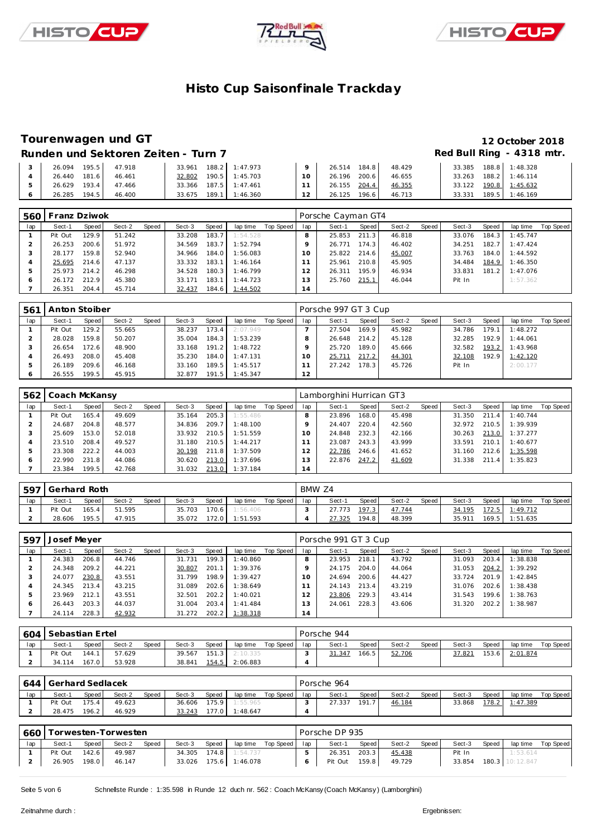





### **Tourenwagen und GT 12 October 2018**

### Runden und Sektoren Zeiten - Turn 7 **an alle an alle an alle Red Bull Ring - 4318 mtr.**

| 26.094<br>195.5  | 33.961<br>47.918 | 188.2 1:47.973   |        | 26.514 184.8 |       | 48.429 | 33.385 | 188.8 | 1:48.328 |
|------------------|------------------|------------------|--------|--------------|-------|--------|--------|-------|----------|
| 181.6<br>26.440  | 32.802<br>46.461 | 190.5 1:45.703   | $10 -$ | 26.196 200.6 |       | 46.655 | 33.263 | 188.2 | 1:46.114 |
| 193.4<br>26.629  | 47.466<br>33.366 | $187.5$ 1:47.461 |        | 26.155 204.4 |       | 46.355 | 33.122 | 190.8 | 1:45.632 |
| 26.285<br>194.51 | 46.400<br>33.675 | 189.1 1:46.360   | $\sim$ | 26.125       | 196.6 | 46.713 | 33.331 | 189.5 | 1:46.169 |

| 560 | Franz Dziwok |                    |        |       |        |       |                 |           |                | Porsche Cayman GT4 |       |        |       |        |       |          |           |
|-----|--------------|--------------------|--------|-------|--------|-------|-----------------|-----------|----------------|--------------------|-------|--------|-------|--------|-------|----------|-----------|
| lap | Sect-1       | Speed              | Sect-2 | Speed | Sect-3 | Speed | lap time        | Top Speed | lap            | Sect-1             | Speed | Sect-2 | Speed | Sect-3 | Speed | lap time | Top Speed |
|     | Pit Out      | 129.9 <sub>1</sub> | 51.242 |       | 33.208 | 183.7 | 1:54.528        |           | 8              | 25.853             | 211.3 | 46.818 |       | 33.076 | 184.3 | 1:45.747 |           |
|     | 26.253       | 200.6              | 51.972 |       | 34.569 | 183.7 | 1:52.794        |           |                | 26.771             | 174.3 | 46.402 |       | 34.251 | 182.7 | 1:47.424 |           |
|     | 28.177       | 159.8              | 52.940 |       | 34.966 | 184.0 | 1:56.083        |           |                | 25.822             | 214.6 | 45.007 |       | 33.763 | 184.0 | 1:44.592 |           |
|     | 25.695       | 214.6              | 47.137 |       | 33.332 | 183.1 | 1:46.164        |           |                | 25.961             | 210.8 | 45.905 |       | 34.484 | 184.9 | 1:46.350 |           |
| 5   | 25.973       | 214.2              | 46.298 |       | 34.528 | 180.3 | 1:46.799        |           |                | 26.311             | 195.9 | 46.934 |       | 33.831 | 181.2 | 1:47.076 |           |
| O   | 26.172       | 212.9              | 45.380 |       | 33.171 | 183.1 | 1:44.723        |           | 3              | 25.760             | 215.1 | 46.044 |       | Pit In |       | 1:57.362 |           |
|     | 26.351       | 204.4              | 45.714 |       | 32.437 | 184.6 | <u>1:44.502</u> |           | $\overline{4}$ |                    |       |        |       |        |       |          |           |

| 561 | Anton Stoiber |       |        |       |        |       |          |           |     | Porsche 997 GT 3 Cup |       |        |       |        |       |          |           |
|-----|---------------|-------|--------|-------|--------|-------|----------|-----------|-----|----------------------|-------|--------|-------|--------|-------|----------|-----------|
| lap | Sect-1        | Speed | Sect-2 | Speed | Sect-3 | Speed | lap time | Top Speed | lap | Sect-1               | Speed | Sect-2 | Speed | Sect-3 | Speed | lap time | Top Speed |
|     | Pit Out       | 129.2 | 55.665 |       | 38.237 | 173.4 | 2:07.949 |           |     | 27.504               | 169.9 | 45.982 |       | 34.786 | 179.1 | 1:48.272 |           |
|     | 28.028        | 159.8 | 50.207 |       | 35.004 | 184.3 | 1:53.239 |           |     | 26.648               | 214.2 | 45.128 |       | 32.285 | 192.9 | 1:44.061 |           |
|     | 26.654        | 172.6 | 48.900 |       | 33.168 | 191.2 | 1:48.722 |           |     | 25.720               | 189.0 | 45.666 |       | 32.582 | 193.2 | 1:43.968 |           |
|     | 26.493        | 208.0 | 45.408 |       | 35.230 | 184.0 | 1:47.131 |           | 10  | 25.711               | 217.2 | 44.301 |       | 32.108 | 192.9 | 1:42.120 |           |
|     | 26.189        | 209.6 | 46.168 |       | 33.160 | 189.5 | 1:45.517 |           |     | 27.242               | 178.3 | 45.726 |       | Pit In |       | 2:00.177 |           |
|     | 26.555        | 199.5 | 45.915 |       | 32.877 | 191.5 | 1:45.347 |           | 12  |                      |       |        |       |        |       |          |           |

| 562 | Coach McKansy |       |        |       |        |       |          |           |                | Lamborghini Hurrican GT3 |       |        |       |        |       |          |           |
|-----|---------------|-------|--------|-------|--------|-------|----------|-----------|----------------|--------------------------|-------|--------|-------|--------|-------|----------|-----------|
| lap | Sect-1        | Speed | Sect-2 | Speed | Sect-3 | Speed | lap time | Top Speed | lap            | Sect-1                   | Speed | Sect-2 | Speed | Sect-3 | Speed | lap time | Top Speed |
|     | Pit Out       | 165.4 | 49.609 |       | 35.164 | 205.3 | 1:55.486 |           |                | 23.896                   | 168.0 | 45.498 |       | 31.350 | 211.4 | 1:40.744 |           |
|     | 24.687        | 204.8 | 48.577 |       | 34.836 | 209.7 | 1:48.100 |           |                | 24.407                   | 220.4 | 42.560 |       | 32.972 | 210.5 | 1:39.939 |           |
|     | 25.609        | 153.0 | 52.018 |       | 33.932 | 210.5 | 1:51.559 |           | 10             | 24.848                   | 232.3 | 42.166 |       | 30.263 | 213.0 | 1:37.277 |           |
|     | 23.510        | 208.4 | 49.527 |       | 31.180 | 210.5 | 1:44.217 |           |                | 23.087                   | 243.3 | 43.999 |       | 33.591 | 210.1 | 1:40.677 |           |
|     | 23.308        | 222.2 | 44.003 |       | 30.198 | 211.8 | 1:37.509 |           |                | 22.786                   | 246.6 | 41.652 |       | 31.160 | 212.6 | 1:35.598 |           |
|     | 22.990        | 231.8 | 44.086 |       | 30.620 | 213.0 | 1:37.696 |           |                | 22.876                   | 247.2 | 41.609 |       | 31.338 | 211.4 | 1:35.823 |           |
|     | 23.384        | 199.5 | 42.768 |       | 31.032 | 213.0 | 1:37.184 |           | $\overline{4}$ |                          |       |        |       |        |       |          |           |

| 597 | Gerhard Roth |              |        |              |        |       |          |           | BMW Z4 |        |       |        |       |        |       |          |           |
|-----|--------------|--------------|--------|--------------|--------|-------|----------|-----------|--------|--------|-------|--------|-------|--------|-------|----------|-----------|
| lap | Sect-1       | <b>Speed</b> | Sect-2 | <b>Speed</b> | Sect-3 | Speed | lap time | Top Speed | lap    | Sect-1 | Speed | Sect-2 | Speed | Sect-3 | Speed | lap time | Top Speed |
|     | Pit Out      | 165.4        | 51.595 |              | 35.703 | 170.6 | 1:56.406 |           |        | 27.773 | 197.3 | 47.744 |       | 34.195 | 172.5 | 1:49.712 |           |
|     | 28.606       | 195.5        | 47.915 |              | 35.072 | 172.0 | 1:51.593 |           |        | 27.325 | 194.8 | 48.399 |       | 35.911 | 169.5 | 1:51.635 |           |

| 597 | Josef Meyer |       |        |       |        |       |          |           |                | Porsche 991 GT 3 Cup |       |        |       |        |       |          |           |
|-----|-------------|-------|--------|-------|--------|-------|----------|-----------|----------------|----------------------|-------|--------|-------|--------|-------|----------|-----------|
| lap | Sect-1      | Speed | Sect-2 | Speed | Sect-3 | Speed | lap time | Top Speed | lap            | Sect-1               | Speed | Sect-2 | Speed | Sect-3 | Speed | lap time | Top Speed |
|     | 24.383      | 206.8 | 44.746 |       | 31.731 | 199.3 | 1:40.860 |           |                | 23.953               | 218.1 | 43.792 |       | 31.093 | 203.4 | 1:38.838 |           |
|     | 24.348      | 209.2 | 44.221 |       | 30.807 | 201.1 | 1:39.376 |           |                | 24.175               | 204.0 | 44.064 |       | 31.053 | 204.2 | 1:39.292 |           |
|     | 24.077      | 230.8 | 43.551 |       | 31.799 | 198.9 | 1:39.427 |           |                | 24.694               | 200.6 | 44.427 |       | 33.724 | 201.9 | 1:42.845 |           |
|     | 24.345      | 213.4 | 43.215 |       | 31.089 | 202.6 | 1:38.649 |           |                | 24.143               | 213.4 | 43.219 |       | 31.076 | 202.6 | 1:38.438 |           |
|     | 23.969      | 212.1 | 43.551 |       | 32.501 | 202.2 | 1:40.021 |           |                | 23.806               | 229.3 | 43.414 |       | 31.543 | 199.6 | 1:38.763 |           |
|     | 26.443      | 203.3 | 44.037 |       | 31.004 | 203.4 | 1:41.484 |           | 3              | 24.061               | 228.3 | 43.606 |       | 31.320 | 202.2 | 1:38.987 |           |
|     | 24.114      | 228.3 | 42.932 |       | 31.272 | 202.2 | 1:38.318 |           | $\overline{4}$ |                      |       |        |       |        |       |          |           |

| 604 | l Sebastian Ertel |       |        |       |        |       |          |           |     | Porsche 944 |       |        |       |        |       |          |           |
|-----|-------------------|-------|--------|-------|--------|-------|----------|-----------|-----|-------------|-------|--------|-------|--------|-------|----------|-----------|
| lap | Sect-1            | Speed | Sect-2 | Speed | Sect-3 | Speed | lap time | Top Speed | lap | Sect-1      | Speed | Sect-2 | Speed | Sect-3 | Speed | lap time | Top Speed |
|     | Pit Out           | 144.1 | 57.629 |       | 39.567 | 151.3 | 2:10.335 |           |     | 31.347      | 166.5 | 52.706 |       | 37.821 | 153.6 | 2:01.874 |           |
|     | 34.114            | 167.0 | 53.928 |       | 38.841 | 154.5 | 2:06.883 |           |     |             |       |        |       |        |       |          |           |

|     | 644 Gerhard Sedlacek |       |        |       |        |       |          |           |     | Porsche 964 |       |        |       |        |       |          |           |
|-----|----------------------|-------|--------|-------|--------|-------|----------|-----------|-----|-------------|-------|--------|-------|--------|-------|----------|-----------|
| lap | Sect-1               | Speed | Sect-2 | Speed | Sect-3 | Speed | lap time | Top Speed | lap | Sect-1      | Speed | Sect-2 | Speed | Sect-3 | Speed | lap time | Top Speed |
|     | Pit Out              | 175.4 | 49.623 |       | 36.606 | 175.9 | 1:55.965 |           |     | 27.337      | 191   | 46.184 |       | 33.868 | 178.2 | 1:47.389 |           |
|     | 28.475               | 196.2 | 46.929 |       | 33.243 | 177.0 | 1:48.647 |           |     |             |       |        |       |        |       |          |           |

| 660 |         |       | Torwesten-Torwesten |       |              |       |                |                    |     | Porsche DP 935 |       |        |       |        |       |                 |           |
|-----|---------|-------|---------------------|-------|--------------|-------|----------------|--------------------|-----|----------------|-------|--------|-------|--------|-------|-----------------|-----------|
| lap | Sect-1  | Speed | Sect-2              | Speed | Sect-3       | Speed |                | lap time Top Speed | lap | Sect-1         | Speed | Sect-2 | Speed | Sect-3 | Speed | lap time        | Top Speed |
|     | Pit Out | 142.6 | 49.987              |       | 34.305 174.8 |       | 1:54.737       |                    |     | 26.351         | 203.3 | 45.438 |       | Pit In |       | 1:53.614        |           |
|     | 26.905  | 198.0 | 46.147              |       | 33.026       |       | 175.6 1:46.078 |                    |     | Pit Out        | 159.8 | 49.729 |       | 33.854 |       | 180.3 10:12.847 |           |

Seite 5 von 6 Schnelste Runde : 1:35.598 in Runde 12 duch nr. 562 : Coach McKansy (Coach McKansy) (Lamborghini)